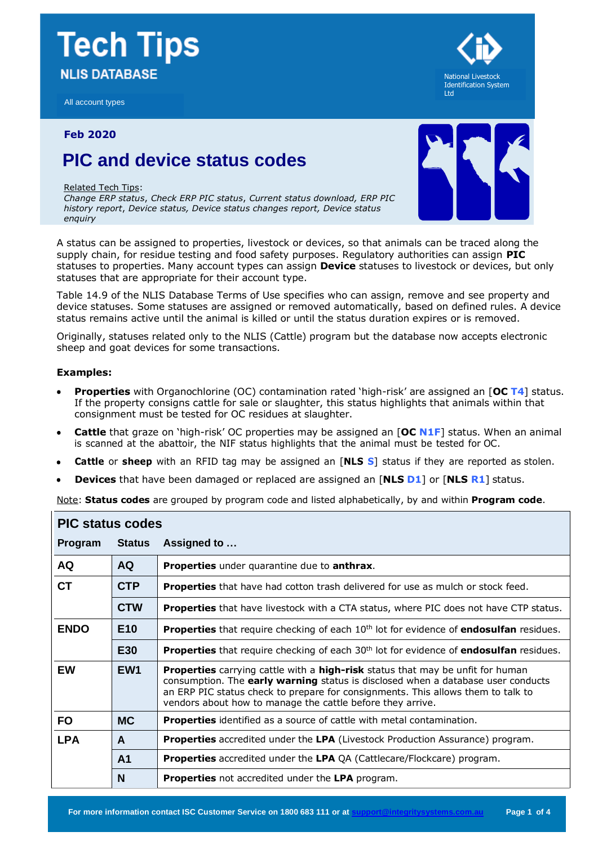# **Tech Tips NLIS DATABASE**

All account types

### **Feb 2020**

## **PIC and device status codes**

#### Related Tech Tips:

*Change ERP status*, *Check ERP PIC status*, *Current status download, ERP PIC history report*, *Device status, Device status changes report, Device status enquiry*

A status can be assigned to properties, livestock or devices, so that animals can be traced along the supply chain, for residue testing and food safety purposes. Regulatory authorities can assign **PIC** statuses to properties. Many account types can assign **Device** statuses to livestock or devices, but only statuses that are appropriate for their account type.

Table 14.9 of the NLIS Database Terms of Use specifies who can assign, remove and see property and device statuses. Some statuses are assigned or removed automatically, based on defined rules. A device status remains active until the animal is killed or until the status duration expires or is removed.

Originally, statuses related only to the NLIS (Cattle) program but the database now accepts electronic sheep and goat devices for some transactions.

### **Examples:**

- **Properties** with Organochlorine (OC) contamination rated 'high-risk' are assigned an [**OC T4**] status. If the property consigns cattle for sale or slaughter, this status highlights that animals within that consignment must be tested for OC residues at slaughter.
- **Cattle** that graze on 'high-risk' OC properties may be assigned an [**OC N1F**] status. When an animal is scanned at the abattoir, the NIF status highlights that the animal must be tested for OC.
- **Cattle** or **sheep** with an RFID tag may be assigned an [**NLS S**] status if they are reported as stolen.
- **Devices** that have been damaged or replaced are assigned an [**NLS D1**] or [**NLS R1**] status.

Note: **Status codes** are grouped by program code and listed alphabetically, by and within **Program code**.

| <b>PIC status codes</b> |                 |                                                                                                                                                                                                                                                                                                                                    |  |  |
|-------------------------|-----------------|------------------------------------------------------------------------------------------------------------------------------------------------------------------------------------------------------------------------------------------------------------------------------------------------------------------------------------|--|--|
| Program                 | <b>Status</b>   | Assigned to                                                                                                                                                                                                                                                                                                                        |  |  |
| <b>AQ</b>               | <b>AQ</b>       | Properties under quarantine due to anthrax.                                                                                                                                                                                                                                                                                        |  |  |
| <b>CT</b>               | <b>CTP</b>      | <b>Properties</b> that have had cotton trash delivered for use as mulch or stock feed.                                                                                                                                                                                                                                             |  |  |
|                         | <b>CTW</b>      | <b>Properties</b> that have livestock with a CTA status, where PIC does not have CTP status.                                                                                                                                                                                                                                       |  |  |
| <b>ENDO</b>             | E <sub>10</sub> | Properties that require checking of each 10 <sup>th</sup> lot for evidence of endosulfan residues.                                                                                                                                                                                                                                 |  |  |
|                         | E30             | <b>Properties</b> that require checking of each 30 <sup>th</sup> lot for evidence of <b>endosulfan</b> residues.                                                                                                                                                                                                                   |  |  |
| <b>EW</b>               | EW <sub>1</sub> | <b>Properties</b> carrying cattle with a <b>high-risk</b> status that may be unfit for human<br>consumption. The early warning status is disclosed when a database user conducts<br>an ERP PIC status check to prepare for consignments. This allows them to talk to<br>vendors about how to manage the cattle before they arrive. |  |  |
| <b>FO</b>               | <b>MC</b>       | <b>Properties</b> identified as a source of cattle with metal contamination.                                                                                                                                                                                                                                                       |  |  |
| <b>LPA</b>              | $\mathsf{A}$    | <b>Properties</b> accredited under the LPA (Livestock Production Assurance) program.                                                                                                                                                                                                                                               |  |  |
|                         | A <sub>1</sub>  | <b>Properties</b> accredited under the LPA QA (Cattlecare/Flockcare) program.                                                                                                                                                                                                                                                      |  |  |
|                         | N               | <b>Properties</b> not accredited under the LPA program.                                                                                                                                                                                                                                                                            |  |  |



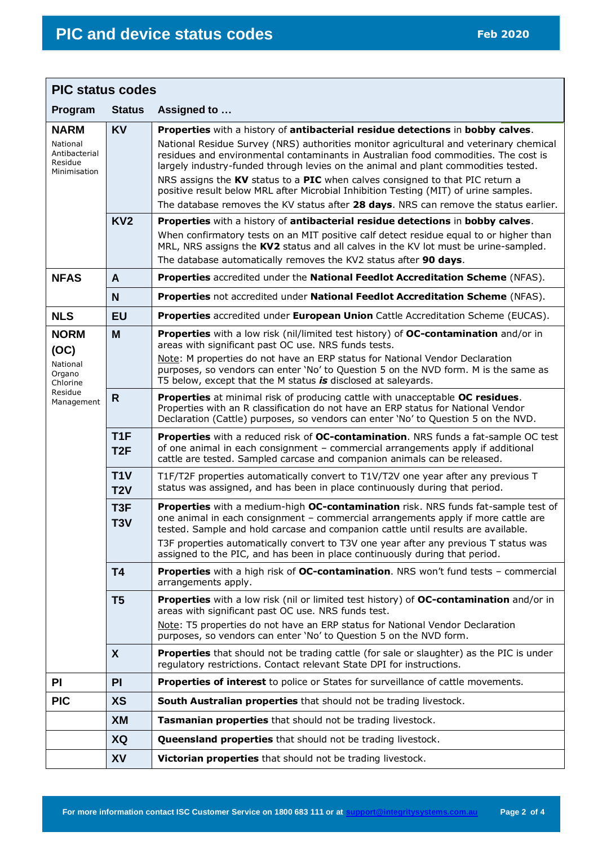| <b>PIC status codes</b>                                                        |                         |                                                                                                                                                                                                                                                                                                                                                                                                                                                                                                                                |  |  |
|--------------------------------------------------------------------------------|-------------------------|--------------------------------------------------------------------------------------------------------------------------------------------------------------------------------------------------------------------------------------------------------------------------------------------------------------------------------------------------------------------------------------------------------------------------------------------------------------------------------------------------------------------------------|--|--|
| Program                                                                        | <b>Status</b>           | Assigned to                                                                                                                                                                                                                                                                                                                                                                                                                                                                                                                    |  |  |
| <b>NARM</b><br>National<br>Antibacterial<br>Residue<br>Minimisation            | <b>KV</b>               | Properties with a history of antibacterial residue detections in bobby calves.<br>National Residue Survey (NRS) authorities monitor agricultural and veterinary chemical<br>residues and environmental contaminants in Australian food commodities. The cost is<br>largely industry-funded through levies on the animal and plant commodities tested.<br>NRS assigns the KV status to a PIC when calves consigned to that PIC return a<br>positive result below MRL after Microbial Inhibition Testing (MIT) of urine samples. |  |  |
|                                                                                |                         | The database removes the KV status after 28 days. NRS can remove the status earlier.                                                                                                                                                                                                                                                                                                                                                                                                                                           |  |  |
|                                                                                | KV <sub>2</sub>         | Properties with a history of antibacterial residue detections in bobby calves.                                                                                                                                                                                                                                                                                                                                                                                                                                                 |  |  |
|                                                                                |                         | When confirmatory tests on an MIT positive calf detect residue equal to or higher than<br>MRL, NRS assigns the KV2 status and all calves in the KV lot must be urine-sampled.<br>The database automatically removes the KV2 status after 90 days.                                                                                                                                                                                                                                                                              |  |  |
| <b>NFAS</b>                                                                    | A                       | Properties accredited under the National Feedlot Accreditation Scheme (NFAS).                                                                                                                                                                                                                                                                                                                                                                                                                                                  |  |  |
|                                                                                | N                       | Properties not accredited under National Feedlot Accreditation Scheme (NFAS).                                                                                                                                                                                                                                                                                                                                                                                                                                                  |  |  |
| <b>NLS</b>                                                                     | <b>EU</b>               | Properties accredited under European Union Cattle Accreditation Scheme (EUCAS).                                                                                                                                                                                                                                                                                                                                                                                                                                                |  |  |
| <b>NORM</b><br>(OC)<br>National<br>Organo<br>Chlorine<br>Residue<br>Management | M                       | Properties with a low risk (nil/limited test history) of OC-contamination and/or in<br>areas with significant past OC use. NRS funds tests.<br>Note: M properties do not have an ERP status for National Vendor Declaration<br>purposes, so vendors can enter 'No' to Question 5 on the NVD form. M is the same as<br>T5 below, except that the M status is disclosed at saleyards.                                                                                                                                            |  |  |
|                                                                                | R.                      | <b>Properties</b> at minimal risk of producing cattle with unacceptable OC residues.<br>Properties with an R classification do not have an ERP status for National Vendor<br>Declaration (Cattle) purposes, so vendors can enter 'No' to Question 5 on the NVD.                                                                                                                                                                                                                                                                |  |  |
|                                                                                | T <sub>1</sub> F<br>T2F | Properties with a reduced risk of OC-contamination. NRS funds a fat-sample OC test<br>of one animal in each consignment - commercial arrangements apply if additional<br>cattle are tested. Sampled carcase and companion animals can be released.                                                                                                                                                                                                                                                                             |  |  |
|                                                                                | T1V<br>T2V              | T1F/T2F properties automatically convert to T1V/T2V one year after any previous T<br>status was assigned, and has been in place continuously during that period.                                                                                                                                                                                                                                                                                                                                                               |  |  |
|                                                                                | T <sub>3F</sub><br>T3V  | Properties with a medium-high OC-contamination risk. NRS funds fat-sample test of<br>one animal in each consignment - commercial arrangements apply if more cattle are<br>tested. Sample and hold carcase and companion cattle until results are available.                                                                                                                                                                                                                                                                    |  |  |
|                                                                                |                         | T3F properties automatically convert to T3V one year after any previous T status was<br>assigned to the PIC, and has been in place continuously during that period.                                                                                                                                                                                                                                                                                                                                                            |  |  |
|                                                                                | T <sub>4</sub>          | <b>Properties</b> with a high risk of OC-contamination. NRS won't fund tests - commercial<br>arrangements apply.                                                                                                                                                                                                                                                                                                                                                                                                               |  |  |
|                                                                                | T <sub>5</sub>          | Properties with a low risk (nil or limited test history) of OC-contamination and/or in<br>areas with significant past OC use. NRS funds test.                                                                                                                                                                                                                                                                                                                                                                                  |  |  |
|                                                                                |                         | Note: T5 properties do not have an ERP status for National Vendor Declaration<br>purposes, so vendors can enter 'No' to Question 5 on the NVD form.                                                                                                                                                                                                                                                                                                                                                                            |  |  |
|                                                                                | X                       | <b>Properties</b> that should not be trading cattle (for sale or slaughter) as the PIC is under<br>regulatory restrictions. Contact relevant State DPI for instructions.                                                                                                                                                                                                                                                                                                                                                       |  |  |
| <b>PI</b>                                                                      | PI                      | Properties of interest to police or States for surveillance of cattle movements.                                                                                                                                                                                                                                                                                                                                                                                                                                               |  |  |
| <b>PIC</b>                                                                     | <b>XS</b>               | South Australian properties that should not be trading livestock.                                                                                                                                                                                                                                                                                                                                                                                                                                                              |  |  |
|                                                                                | <b>XM</b>               | Tasmanian properties that should not be trading livestock.                                                                                                                                                                                                                                                                                                                                                                                                                                                                     |  |  |
|                                                                                | XQ                      | <b>Queensland properties</b> that should not be trading livestock.                                                                                                                                                                                                                                                                                                                                                                                                                                                             |  |  |
|                                                                                | <b>XV</b>               | Victorian properties that should not be trading livestock.                                                                                                                                                                                                                                                                                                                                                                                                                                                                     |  |  |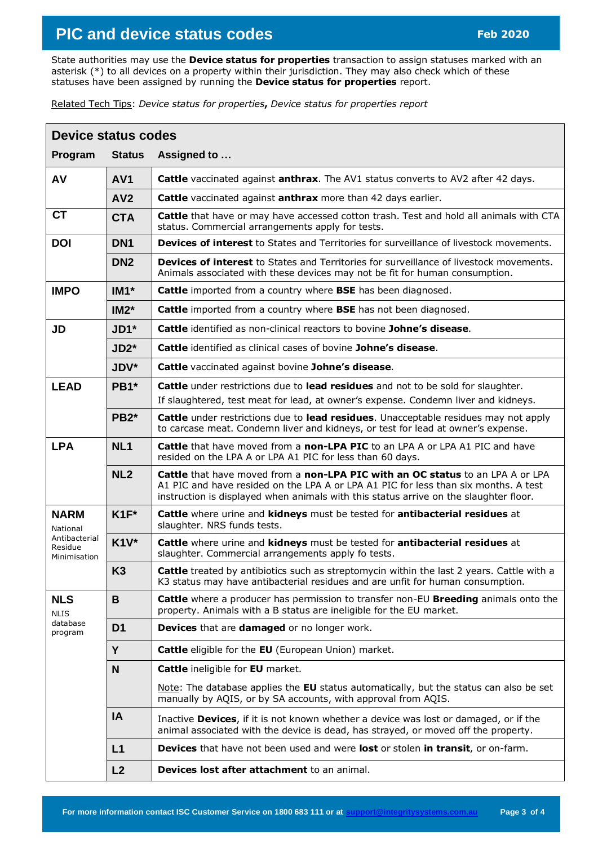# **PIC and device status codes Feb <sup>2020</sup>**

State authorities may use the **Device status for properties** transaction to assign statuses marked with an asterisk (\*) to all devices on a property within their jurisdiction. They may also check which of these statuses have been assigned by running the **Device status for properties** report.

Related Tech Tips: *Device status for properties***,** *Device status for properties report*

| Device status codes                              |                    |                                                                                                                                                                                                                                                                |  |  |
|--------------------------------------------------|--------------------|----------------------------------------------------------------------------------------------------------------------------------------------------------------------------------------------------------------------------------------------------------------|--|--|
| Program                                          | <b>Status</b>      | Assigned to                                                                                                                                                                                                                                                    |  |  |
| AV                                               | AV <sub>1</sub>    | <b>Cattle</b> vaccinated against <b>anthrax</b> . The AV1 status converts to AV2 after 42 days.                                                                                                                                                                |  |  |
|                                                  | AV2                | <b>Cattle</b> vaccinated against <b>anthrax</b> more than 42 days earlier.                                                                                                                                                                                     |  |  |
| <b>CT</b>                                        | <b>CTA</b>         | Cattle that have or may have accessed cotton trash. Test and hold all animals with CTA<br>status. Commercial arrangements apply for tests.                                                                                                                     |  |  |
| <b>DOI</b>                                       | DN <sub>1</sub>    | Devices of interest to States and Territories for surveillance of livestock movements.                                                                                                                                                                         |  |  |
|                                                  | DN <sub>2</sub>    | Devices of interest to States and Territories for surveillance of livestock movements.<br>Animals associated with these devices may not be fit for human consumption.                                                                                          |  |  |
| <b>IMPO</b>                                      | $IM1*$             | Cattle imported from a country where BSE has been diagnosed.                                                                                                                                                                                                   |  |  |
|                                                  | $IM2^*$            | Cattle imported from a country where BSE has not been diagnosed.                                                                                                                                                                                               |  |  |
| JD                                               | $JD1$ <sup>*</sup> | <b>Cattle identified as non-clinical reactors to bovine Johne's disease.</b>                                                                                                                                                                                   |  |  |
|                                                  | $JD2*$             | Cattle identified as clinical cases of bovine Johne's disease.                                                                                                                                                                                                 |  |  |
|                                                  | JDV*               | Cattle vaccinated against bovine Johne's disease.                                                                                                                                                                                                              |  |  |
| <b>LEAD</b>                                      | PB1*               | Cattle under restrictions due to lead residues and not to be sold for slaughter.<br>If slaughtered, test meat for lead, at owner's expense. Condemn liver and kidneys.                                                                                         |  |  |
|                                                  | PB <sub>2</sub> *  | Cattle under restrictions due to lead residues. Unacceptable residues may not apply<br>to carcase meat. Condemn liver and kidneys, or test for lead at owner's expense.                                                                                        |  |  |
| <b>LPA</b>                                       | NL <sub>1</sub>    | <b>Cattle</b> that have moved from a non-LPA PIC to an LPA A or LPA A1 PIC and have<br>resided on the LPA A or LPA A1 PIC for less than 60 days.                                                                                                               |  |  |
|                                                  | NL <sub>2</sub>    | Cattle that have moved from a non-LPA PIC with an OC status to an LPA A or LPA<br>A1 PIC and have resided on the LPA A or LPA A1 PIC for less than six months. A test<br>instruction is displayed when animals with this status arrive on the slaughter floor. |  |  |
| <b>NARM</b><br>National                          | $K1F^*$            | Cattle where urine and kidneys must be tested for antibacterial residues at<br>slaughter. NRS funds tests.                                                                                                                                                     |  |  |
| Antibacterial<br>Residue<br>Minimisation         | $K1V^*$            | Cattle where urine and kidneys must be tested for antibacterial residues at<br>slaughter. Commercial arrangements apply fo tests.                                                                                                                              |  |  |
|                                                  | K <sub>3</sub>     | <b>Cattle</b> treated by antibiotics such as streptomycin within the last 2 years. Cattle with a<br>K3 status may have antibacterial residues and are unfit for human consumption.                                                                             |  |  |
| <b>NLS</b><br><b>NLIS</b><br>database<br>program | B                  | Cattle where a producer has permission to transfer non-EU Breeding animals onto the<br>property. Animals with a B status are ineligible for the EU market.                                                                                                     |  |  |
|                                                  | D <sub>1</sub>     | Devices that are damaged or no longer work.                                                                                                                                                                                                                    |  |  |
|                                                  | Y                  | <b>Cattle</b> eligible for the <b>EU</b> (European Union) market.                                                                                                                                                                                              |  |  |
|                                                  | N <sub>1</sub>     | <b>Cattle</b> ineligible for <b>EU</b> market.                                                                                                                                                                                                                 |  |  |
|                                                  |                    | Note: The database applies the EU status automatically, but the status can also be set<br>manually by AQIS, or by SA accounts, with approval from AQIS.                                                                                                        |  |  |
|                                                  | IA                 | Inactive Devices, if it is not known whether a device was lost or damaged, or if the<br>animal associated with the device is dead, has strayed, or moved off the property.                                                                                     |  |  |
|                                                  | L1                 | <b>Devices</b> that have not been used and were lost or stolen in transit, or on-farm.                                                                                                                                                                         |  |  |
|                                                  | L2                 | Devices lost after attachment to an animal.                                                                                                                                                                                                                    |  |  |